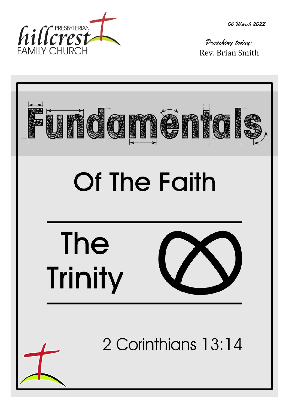

*06 March 2022*

*Preaching today:* Rev. Brian Smith

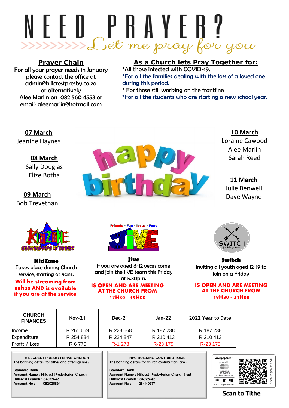# $N E E D_{\alpha} P R A Y E B ?$ Let me pray for you

### **Prayer Chain**

For all your prayer needs in January please contact the office at admin@hillcrestpresby.co.za or alternatively Alee Marlin on 082 560 4553 or email: aleemarlin@hotmail.com

# **As a Church lets Pray Together for:**

\*All those infected with COVID-19. \*For all the families dealing with the loss of a loved one during this period. \* For those still working on the frontline

\*For all the students who are starting a new school year.

**07 March** Jeanine Haynes

## **08 March** Sally Douglas Elize Botha

**09 March** Bob Trevethan



**10 March** Loraine Cawood Alee Marlin Sarah Reed

**11 March** Julie Benwell Dave Wayne



**KidZone** Takes place during Church service, starting at 9am.

Will be streaming from 08h30 AND is available if you are at the service



**Jive** If you are aged 6-12 years come and join the JIVE team this Friday at 5.30pm.

#### IS OPEN AND ARE MEETING AT THE CHURCH FROM 17H30 - 19H00



**Switch** Inviting all youth aged 12-19 to join on a Friday

### IS OPEN AND ARE MEETING AT THE CHURCH FROM 19H30 - 21H00

| <b>CHURCH</b><br><b>FINANCES</b> | <b>Nov-21</b> | $Dec-21$  | $Jan-22$  | 2022 Year to Date |
|----------------------------------|---------------|-----------|-----------|-------------------|
| <b>Ilncome</b>                   | R 261 659     | R 223 568 | R 187 238 | R 187 238         |
| Expenditure                      | R 254 884     | R 224 847 | R 210 413 | R 210 413         |
| Profit / Loss                    | R 6 775       | R-1 278   | R-23 175  | R-23 175          |

**HILLCREST PRESBYTERIAN CHURCH** The banking details for tithes and offerings are :

**Standard Bank**

**Account Name :** Hillcrest Presbyterian Church **Hillcrest Branch :** 04572642 **Account No :** 052028364

**HPC BUILDING CONTRIBUTIONS** The banking details for church contributions are :

**Standard Bank Account Name :** Hillcrest Presbyterian Church Trust **Hillcrest Branch :** 04572642 **Account No :** 254149677



**Scan to Tithe**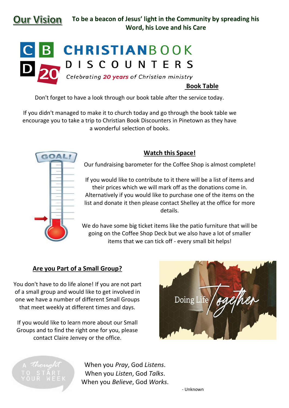# Our Vision To be a beacon of Jesus' light in the Community by spreading his Word, his Love and his Care

# **B CHRISTIANBOOK**  $D$   $I$   $S$   $C$   $O$   $U$   $N$   $T$   $E$   $R$   $S$ <br>Celebrating 20 years of Christian ministry

**Book Table**

Don't forget to have a look through our book table after the service today.

If you didn't managed to make it to church today and go through the book table we encourage you to take a trip to Christian Book Discounters in Pinetown as they have a wonderful selection of books.



Our fundraising barometer for the Coffee Shop is almost complete!

If you would like to contribute to it there will be a list of items and their prices which we will mark off as the donations come in. Alternatively if you would like to purchase one of the items on the list and donate it then please contact Shelley at the office for more details.

We do have some big ticket items like the patio furniture that will be going on the Coffee Shop Deck but we also have a lot of smaller items that we can tick off - every small bit helps!

### **Are you Part of a Small Group?**

**GOAL!** 

You don't have to do life alone! If you are not part of a small group and would like to get involved in one we have a number of different Small Groups that meet weekly at different times and days.

If you would like to learn more about our Small Groups and to find the right one for you, please contact Claire Jenvey or the office.





When you *Pray*, God *Listens*. When you *Listen*, God *Talks*. When you *Believe*, God *Works*.

- Unknown